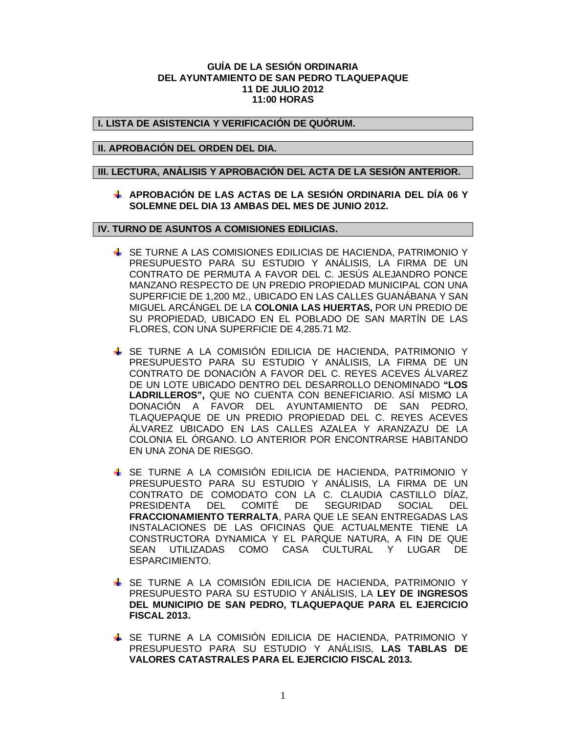### **GUÍA DE LA SESIÓN ORDINARIA DEL AYUNTAMIENTO DE SAN PEDRO TLAQUEPAQUE 11 DE JULIO 2012 11:00 HORAS**

## **I. LISTA DE ASISTENCIA Y VERIFICACIÓN DE QUÓRUM.**

## **II. APROBACIÓN DEL ORDEN DEL DIA.**

### **III. LECTURA, ANÁLISIS Y APROBACIÓN DEL ACTA DE LA SESIÓN ANTERIOR.**

**APROBACIÓN DE LAS ACTAS DE LA SESIÓN ORDINARIA DEL DÍA 06 Y SOLEMNE DEL DIA 13 AMBAS DEL MES DE JUNIO 2012.** 

### **IV. TURNO DE ASUNTOS A COMISIONES EDILICIAS.**

- SE TURNE A LAS COMISIONES EDILICIAS DE HACIENDA, PATRIMONIO Y PRESUPUESTO PARA SU ESTUDIO Y ANÁLISIS, LA FIRMA DE UN CONTRATO DE PERMUTA A FAVOR DEL C. JESÚS ALEJANDRO PONCE MANZANO RESPECTO DE UN PREDIO PROPIEDAD MUNICIPAL CON UNA SUPERFICIE DE 1,200 M2., UBICADO EN LAS CALLES GUANÁBANA Y SAN MIGUEL ARCÁNGEL DE LA **COLONIA LAS HUERTAS,** POR UN PREDIO DE SU PROPIEDAD, UBICADO EN EL POBLADO DE SAN MARTÍN DE LAS FLORES, CON UNA SUPERFICIE DE 4,285.71 M2.
- SE TURNE A LA COMISIÓN EDILICIA DE HACIENDA, PATRIMONIO Y PRESUPUESTO PARA SU ESTUDIO Y ANÁLISIS, LA FIRMA DE UN CONTRATO DE DONACIÓN A FAVOR DEL C. REYES ACEVES ÁLVAREZ DE UN LOTE UBICADO DENTRO DEL DESARROLLO DENOMINADO **"LOS LADRILLEROS",** QUE NO CUENTA CON BENEFICIARIO. ASÍ MISMO LA DONACIÓN A FAVOR DEL AYUNTAMIENTO DE SAN PEDRO, TLAQUEPAQUE DE UN PREDIO PROPIEDAD DEL C. REYES ACEVES ÁLVAREZ UBICADO EN LAS CALLES AZALEA Y ARANZAZU DE LA COLONIA EL ÓRGANO. LO ANTERIOR POR ENCONTRARSE HABITANDO EN UNA ZONA DE RIESGO.
- SE TURNE A LA COMISIÓN EDILICIA DE HACIENDA, PATRIMONIO Y PRESUPUESTO PARA SU ESTUDIO Y ANÁLISIS, LA FIRMA DE UN CONTRATO DE COMODATO CON LA C. CLAUDIA CASTILLO DÍAZ, PRESIDENTA DEL COMITÉ DE SEGURIDAD SOCIAL DEL **FRACCIONAMIENTO TERRALTA**, PARA QUE LE SEAN ENTREGADAS LAS INSTALACIONES DE LAS OFICINAS QUE ACTUALMENTE TIENE LA CONSTRUCTORA DYNAMICA Y EL PARQUE NATURA, A FIN DE QUE SEAN UTILIZADAS COMO CASA CULTURAL Y LUGAR DE ESPARCIMIENTO.
- SE TURNE A LA COMISIÓN EDILICIA DE HACIENDA, PATRIMONIO Y PRESUPUESTO PARA SU ESTUDIO Y ANÁLISIS, LA **LEY DE INGRESOS DEL MUNICIPIO DE SAN PEDRO, TLAQUEPAQUE PARA EL EJERCICIO FISCAL 2013.**
- SE TURNE A LA COMISIÓN EDILICIA DE HACIENDA, PATRIMONIO Y PRESUPUESTO PARA SU ESTUDIO Y ANÁLISIS, **LAS TABLAS DE VALORES CATASTRALES PARA EL EJERCICIO FISCAL 2013.**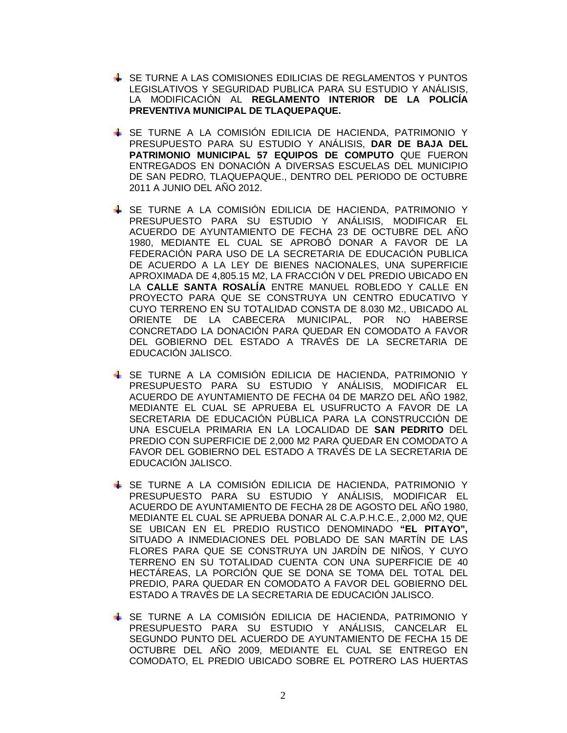- SE TURNE A LAS COMISIONES EDILICIAS DE REGLAMENTOS Y PUNTOS LEGISLATIVOS Y SEGURIDAD PUBLICA PARA SU ESTUDIO Y ANÁLISIS, LA MODIFICACIÓN AL **REGLAMENTO INTERIOR DE LA POLICÍA PREVENTIVA MUNICIPAL DE TLAQUEPAQUE.**
- SE TURNE A LA COMISIÓN EDILICIA DE HACIENDA, PATRIMONIO Y PRESUPUESTO PARA SU ESTUDIO Y ANÁLISIS, **DAR DE BAJA DEL PATRIMONIO MUNICIPAL 57 EQUIPOS DE COMPUTO** QUE FUERON ENTREGADOS EN DONACIÓN A DIVERSAS ESCUELAS DEL MUNICIPIO DE SAN PEDRO, TLAQUEPAQUE., DENTRO DEL PERIODO DE OCTUBRE 2011 A JUNIO DEL AÑO 2012.
- SE TURNE A LA COMISIÓN EDILICIA DE HACIENDA, PATRIMONIO Y PRESUPUESTO PARA SU ESTUDIO Y ANÁLISIS, MODIFICAR EL ACUERDO DE AYUNTAMIENTO DE FECHA 23 DE OCTUBRE DEL AÑO 1980, MEDIANTE EL CUAL SE APROBÓ DONAR A FAVOR DE LA FEDERACIÓN PARA USO DE LA SECRETARIA DE EDUCACIÓN PUBLICA DE ACUERDO A LA LEY DE BIENES NACIONALES, UNA SUPERFICIE APROXIMADA DE 4,805.15 M2, LA FRACCIÓN V DEL PREDIO UBICADO EN LA **CALLE SANTA ROSALÍA** ENTRE MANUEL ROBLEDO Y CALLE EN PROYECTO PARA QUE SE CONSTRUYA UN CENTRO EDUCATIVO Y CUYO TERRENO EN SU TOTALIDAD CONSTA DE 8.030 M2., UBICADO AL ORIENTE DE LA CABECERA MUNICIPAL, POR NO HABERSE CONCRETADO LA DONACIÓN PARA QUEDAR EN COMODATO A FAVOR DEL GOBIERNO DEL ESTADO A TRAVÉS DE LA SECRETARIA DE EDUCACIÓN JALISCO.
- SE TURNE A LA COMISIÓN EDILICIA DE HACIENDA, PATRIMONIO Y PRESUPUESTO PARA SU ESTUDIO Y ANÁLISIS, MODIFICAR EL ACUERDO DE AYUNTAMIENTO DE FECHA 04 DE MARZO DEL AÑO 1982, MEDIANTE EL CUAL SE APRUEBA EL USUFRUCTO A FAVOR DE LA SECRETARIA DE EDUCACIÓN PÚBLICA PARA LA CONSTRUCCIÓN DE UNA ESCUELA PRIMARIA EN LA LOCALIDAD DE **SAN PEDRITO** DEL PREDIO CON SUPERFICIE DE 2,000 M2 PARA QUEDAR EN COMODATO A FAVOR DEL GOBIERNO DEL ESTADO A TRAVÉS DE LA SECRETARIA DE EDUCACIÓN JALISCO.
- SE TURNE A LA COMISIÓN EDILICIA DE HACIENDA, PATRIMONIO Y PRESUPUESTO PARA SU ESTUDIO Y ANÁLISIS, MODIFICAR EL ACUERDO DE AYUNTAMIENTO DE FECHA 28 DE AGOSTO DEL AÑO 1980, MEDIANTE EL CUAL SE APRUEBA DONAR AL C.A.P.H.C.E., 2,000 M2, QUE SE UBICAN EN EL PREDIO RUSTICO DENOMINADO **"EL PITAYO",** SITUADO A INMEDIACIONES DEL POBLADO DE SAN MARTÍN DE LAS FLORES PARA QUE SE CONSTRUYA UN JARDÍN DE NIÑOS, Y CUYO TERRENO EN SU TOTALIDAD CUENTA CON UNA SUPERFICIE DE 40 HECTÁREAS, LA PORCIÓN QUE SE DONA SE TOMA DEL TOTAL DEL PREDIO, PARA QUEDAR EN COMODATO A FAVOR DEL GOBIERNO DEL ESTADO A TRAVÉS DE LA SECRETARIA DE EDUCACIÓN JALISCO.
- SE TURNE A LA COMISIÓN EDILICIA DE HACIENDA, PATRIMONIO Y PRESUPUESTO PARA SU ESTUDIO Y ANÁLISIS, CANCELAR EL SEGUNDO PUNTO DEL ACUERDO DE AYUNTAMIENTO DE FECHA 15 DE OCTUBRE DEL AÑO 2009, MEDIANTE EL CUAL SE ENTREGO EN COMODATO, EL PREDIO UBICADO SOBRE EL POTRERO LAS HUERTAS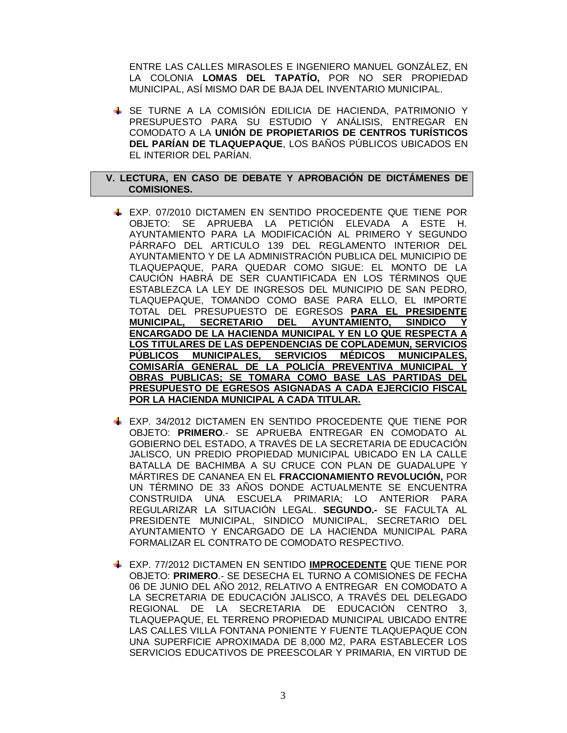ENTRE LAS CALLES MIRASOLES E INGENIERO MANUEL GONZÁLEZ, EN LA COLONIA **LOMAS DEL TAPATÍO,** POR NO SER PROPIEDAD MUNICIPAL, ASÍ MISMO DAR DE BAJA DEL INVENTARIO MUNICIPAL.

SE TURNE A LA COMISIÓN EDILICIA DE HACIENDA, PATRIMONIO Y PRESUPUESTO PARA SU ESTUDIO Y ANÁLISIS, ENTREGAR EN COMODATO A LA **UNIÓN DE PROPIETARIOS DE CENTROS TURÍSTICOS DEL PARÍAN DE TLAQUEPAQUE**, LOS BAÑOS PÚBLICOS UBICADOS EN EL INTERIOR DEL PARÍAN.

# **V. LECTURA, EN CASO DE DEBATE Y APROBACIÓN DE DICTÁMENES DE COMISIONES.**

- EXP. 07/2010 DICTAMEN EN SENTIDO PROCEDENTE QUE TIENE POR OBJETO: SE APRUEBA LA PETICIÓN ELEVADA A ESTE H. AYUNTAMIENTO PARA LA MODIFICACIÓN AL PRIMERO Y SEGUNDO PÁRRAFO DEL ARTICULO 139 DEL REGLAMENTO INTERIOR DEL AYUNTAMIENTO Y DE LA ADMINISTRACIÓN PUBLICA DEL MUNICIPIO DE TLAQUEPAQUE, PARA QUEDAR COMO SIGUE: EL MONTO DE LA CAUCIÓN HABRÁ DE SER CUANTIFICADA EN LOS TÉRMINOS QUE ESTABLEZCA LA LEY DE INGRESOS DEL MUNICIPIO DE SAN PEDRO, TLAQUEPAQUE, TOMANDO COMO BASE PARA ELLO, EL IMPORTE TOTAL DEL PRESUPUESTO DE EGRESOS **PARA EL PRESIDENTE MUNICIPAL, SECRETARIO DEL AYUNTAMIENTO, SINDICO ENCARGADO DE LA HACIENDA MUNICIPAL Y EN LO QUE RESPECTA A LOS TITULARES DE LAS DEPENDENCIAS DE COPLADEMUN, SERVICIOS PÚBLICOS MUNICIPALES, SERVICIOS MÉDICOS MUNICIPALES, COMISARÍA GENERAL DE LA POLICÍA PREVENTIVA MUNICIPAL Y OBRAS PUBLICAS; SE TOMARA COMO BASE LAS PARTIDAS DEL PRESUPUESTO DE EGRESOS ASIGNADAS A CADA EJERCICIO FISCAL POR LA HACIENDA MUNICIPAL A CADA TITULAR.**
- EXP. 34/2012 DICTAMEN EN SENTIDO PROCEDENTE QUE TIENE POR OBJETO: **PRIMERO**.- SE APRUEBA ENTREGAR EN COMODATO AL GOBIERNO DEL ESTADO, A TRAVÉS DE LA SECRETARIA DE EDUCACIÓN JALISCO, UN PREDIO PROPIEDAD MUNICIPAL UBICADO EN LA CALLE BATALLA DE BACHIMBA A SU CRUCE CON PLAN DE GUADALUPE Y MÁRTIRES DE CANANEA EN EL **FRACCIONAMIENTO REVOLUCIÓN,** POR UN TÉRMINO DE 33 AÑOS DONDE ACTUALMENTE SE ENCUENTRA CONSTRUIDA UNA ESCUELA PRIMARIA; LO ANTERIOR PARA REGULARIZAR LA SITUACIÓN LEGAL. **SEGUNDO.-** SE FACULTA AL PRESIDENTE MUNICIPAL, SINDICO MUNICIPAL, SECRETARIO DEL AYUNTAMIENTO Y ENCARGADO DE LA HACIENDA MUNICIPAL PARA FORMALIZAR EL CONTRATO DE COMODATO RESPECTIVO.
- EXP. 77/2012 DICTAMEN EN SENTIDO **IMPROCEDENTE** QUE TIENE POR OBJETO: **PRIMERO**.- SE DESECHA EL TURNO A COMISIONES DE FECHA 06 DE JUNIO DEL AÑO 2012, RELATIVO A ENTREGAR EN COMODATO A LA SECRETARIA DE EDUCACIÓN JALISCO, A TRAVÉS DEL DELEGADO REGIONAL DE LA SECRETARIA DE EDUCACIÓN CENTRO 3, TLAQUEPAQUE, EL TERRENO PROPIEDAD MUNICIPAL UBICADO ENTRE LAS CALLES VILLA FONTANA PONIENTE Y FUENTE TLAQUEPAQUE CON UNA SUPERFICIE APROXIMADA DE 8,000 M2, PARA ESTABLECER LOS SERVICIOS EDUCATIVOS DE PREESCOLAR Y PRIMARIA, EN VIRTUD DE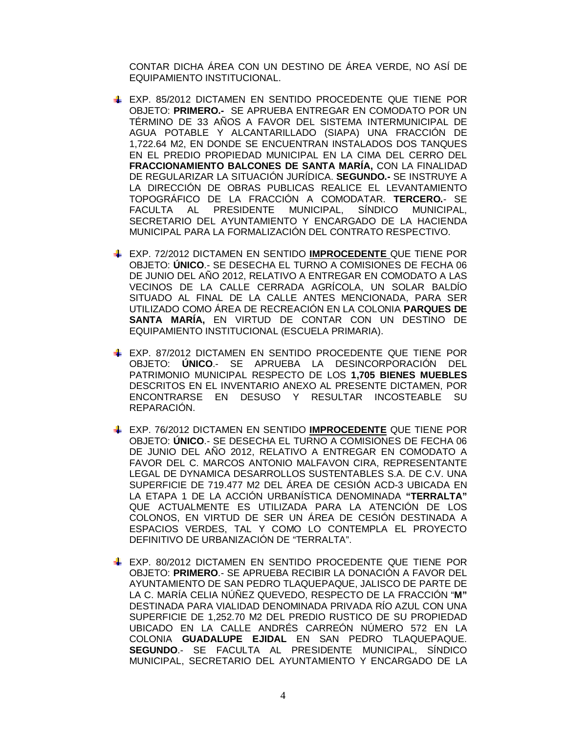CONTAR DICHA ÁREA CON UN DESTINO DE ÁREA VERDE, NO ASÍ DE EQUIPAMIENTO INSTITUCIONAL.

- EXP. 85/2012 DICTAMEN EN SENTIDO PROCEDENTE QUE TIENE POR OBJETO: **PRIMERO.-** SE APRUEBA ENTREGAR EN COMODATO POR UN TÉRMINO DE 33 AÑOS A FAVOR DEL SISTEMA INTERMUNICIPAL DE AGUA POTABLE Y ALCANTARILLADO (SIAPA) UNA FRACCIÓN DE 1,722.64 M2, EN DONDE SE ENCUENTRAN INSTALADOS DOS TANQUES EN EL PREDIO PROPIEDAD MUNICIPAL EN LA CIMA DEL CERRO DEL **FRACCIONAMIENTO BALCONES DE SANTA MARÍA,** CON LA FINALIDAD DE REGULARIZAR LA SITUACIÓN JURÍDICA. **SEGUNDO.-** SE INSTRUYE A LA DIRECCIÓN DE OBRAS PUBLICAS REALICE EL LEVANTAMIENTO TOPOGRÁFICO DE LA FRACCIÓN A COMODATAR. **TERCERO.**- SE FACULTA AL PRESIDENTE MUNICIPAL, SÍNDICO MUNICIPAL, SECRETARIO DEL AYUNTAMIENTO Y ENCARGADO DE LA HACIENDA MUNICIPAL PARA LA FORMALIZACIÓN DEL CONTRATO RESPECTIVO.
- EXP. 72/2012 DICTAMEN EN SENTIDO **IMPROCEDENTE** QUE TIENE POR OBJETO: **ÚNICO**.- SE DESECHA EL TURNO A COMISIONES DE FECHA 06 DE JUNIO DEL AÑO 2012, RELATIVO A ENTREGAR EN COMODATO A LAS VECINOS DE LA CALLE CERRADA AGRÍCOLA, UN SOLAR BALDÍO SITUADO AL FINAL DE LA CALLE ANTES MENCIONADA, PARA SER UTILIZADO COMO ÁREA DE RECREACIÓN EN LA COLONIA **PARQUES DE SANTA MARÍA,** EN VIRTUD DE CONTAR CON UN DESTINO DE EQUIPAMIENTO INSTITUCIONAL (ESCUELA PRIMARIA).
- EXP. 87/2012 DICTAMEN EN SENTIDO PROCEDENTE QUE TIENE POR OBJETO: **ÚNICO**.- SE APRUEBA LA DESINCORPORACIÓN DEL PATRIMONIO MUNICIPAL RESPECTO DE LOS **1,705 BIENES MUEBLES** DESCRITOS EN EL INVENTARIO ANEXO AL PRESENTE DICTAMEN, POR ENCONTRARSE EN DESUSO Y RESULTAR INCOSTEABLE SU REPARACIÓN.
- EXP. 76/2012 DICTAMEN EN SENTIDO **IMPROCEDENTE** QUE TIENE POR OBJETO: **ÚNICO**.- SE DESECHA EL TURNO A COMISIONES DE FECHA 06 DE JUNIO DEL AÑO 2012, RELATIVO A ENTREGAR EN COMODATO A FAVOR DEL C. MARCOS ANTONIO MALFAVON CIRA, REPRESENTANTE LEGAL DE DYNAMICA DESARROLLOS SUSTENTABLES S.A. DE C.V. UNA SUPERFICIE DE 719.477 M2 DEL ÁREA DE CESIÓN ACD-3 UBICADA EN LA ETAPA 1 DE LA ACCIÓN URBANÍSTICA DENOMINADA **"TERRALTA"** QUE ACTUALMENTE ES UTILIZADA PARA LA ATENCIÓN DE LOS COLONOS, EN VIRTUD DE SER UN ÁREA DE CESIÓN DESTINADA A ESPACIOS VERDES, TAL Y COMO LO CONTEMPLA EL PROYECTO DEFINITIVO DE URBANIZACIÓN DE "TERRALTA".
- EXP. 80/2012 DICTAMEN EN SENTIDO PROCEDENTE QUE TIENE POR OBJETO: **PRIMERO**.- SE APRUEBA RECIBIR LA DONACIÓN A FAVOR DEL AYUNTAMIENTO DE SAN PEDRO TLAQUEPAQUE, JALISCO DE PARTE DE LA C. MARÍA CELIA NÚÑEZ QUEVEDO, RESPECTO DE LA FRACCIÓN "**M"**  DESTINADA PARA VIALIDAD DENOMINADA PRIVADA RÍO AZUL CON UNA SUPERFICIE DE 1,252.70 M2 DEL PREDIO RUSTICO DE SU PROPIEDAD UBICADO EN LA CALLE ANDRÉS CARREÓN NÚMERO 572 EN LA COLONIA **GUADALUPE EJIDAL** EN SAN PEDRO TLAQUEPAQUE. **SEGUNDO**.- SE FACULTA AL PRESIDENTE MUNICIPAL, SÍNDICO MUNICIPAL, SECRETARIO DEL AYUNTAMIENTO Y ENCARGADO DE LA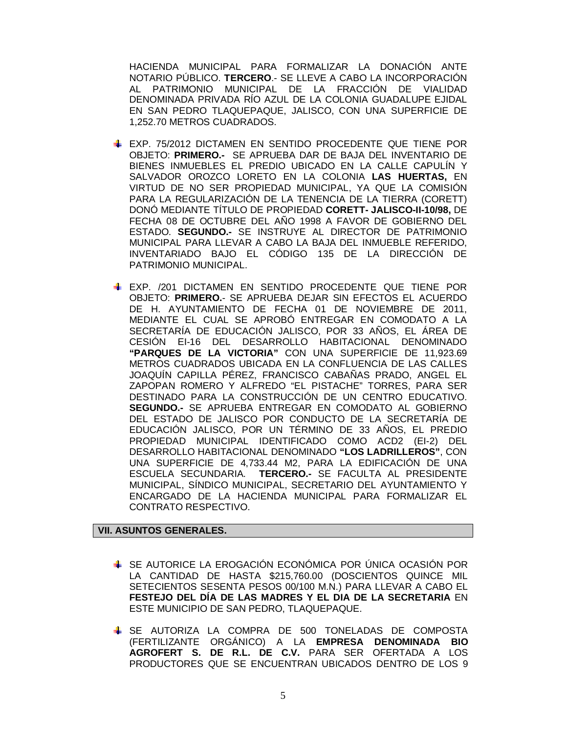HACIENDA MUNICIPAL PARA FORMALIZAR LA DONACIÓN ANTE NOTARIO PÚBLICO. **TERCERO**.- SE LLEVE A CABO LA INCORPORACIÓN AL PATRIMONIO MUNICIPAL DE LA FRACCIÓN DE VIALIDAD DENOMINADA PRIVADA RÍO AZUL DE LA COLONIA GUADALUPE EJIDAL EN SAN PEDRO TLAQUEPAQUE, JALISCO, CON UNA SUPERFICIE DE 1,252.70 METROS CUADRADOS.

- EXP. 75/2012 DICTAMEN EN SENTIDO PROCEDENTE QUE TIENE POR OBJETO: **PRIMERO.-** SE APRUEBA DAR DE BAJA DEL INVENTARIO DE BIENES INMUEBLES EL PREDIO UBICADO EN LA CALLE CAPULÍN Y SALVADOR OROZCO LORETO EN LA COLONIA **LAS HUERTAS,** EN VIRTUD DE NO SER PROPIEDAD MUNICIPAL, YA QUE LA COMISIÓN PARA LA REGULARIZACIÓN DE LA TENENCIA DE LA TIERRA (CORETT) DONÓ MEDIANTE TÍTULO DE PROPIEDAD **CORETT- JALISCO-II-10/98,** DE FECHA 08 DE OCTUBRE DEL AÑO 1998 A FAVOR DE GOBIERNO DEL ESTADO. **SEGUNDO.-** SE INSTRUYE AL DIRECTOR DE PATRIMONIO MUNICIPAL PARA LLEVAR A CABO LA BAJA DEL INMUEBLE REFERIDO, INVENTARIADO BAJO EL CÓDIGO 135 DE LA DIRECCIÓN DE PATRIMONIO MUNICIPAL.
- EXP. /201 DICTAMEN EN SENTIDO PROCEDENTE QUE TIENE POR OBJETO: **PRIMERO.**- SE APRUEBA DEJAR SIN EFECTOS EL ACUERDO DE H. AYUNTAMIENTO DE FECHA 01 DE NOVIEMBRE DE 2011, MEDIANTE EL CUAL SE APROBÓ ENTREGAR EN COMODATO A LA SECRETARÍA DE EDUCACIÓN JALISCO, POR 33 AÑOS, EL ÁREA DE CESIÓN EI-16 DEL DESARROLLO HABITACIONAL DENOMINADO **"PARQUES DE LA VICTORIA"** CON UNA SUPERFICIE DE 11,923.69 METROS CUADRADOS UBICADA EN LA CONFLUENCIA DE LAS CALLES JOAQUÍN CAPILLA PÉREZ, FRANCISCO CABAÑAS PRADO, ANGEL EL ZAPOPAN ROMERO Y ALFREDO "EL PISTACHE" TORRES, PARA SER DESTINADO PARA LA CONSTRUCCIÓN DE UN CENTRO EDUCATIVO. **SEGUNDO.-** SE APRUEBA ENTREGAR EN COMODATO AL GOBIERNO DEL ESTADO DE JALISCO POR CONDUCTO DE LA SECRETARÍA DE EDUCACIÓN JALISCO, POR UN TÉRMINO DE 33 AÑOS, EL PREDIO PROPIEDAD MUNICIPAL IDENTIFICADO COMO ACD2 (EI-2) DEL DESARROLLO HABITACIONAL DENOMINADO **"LOS LADRILLEROS"**, CON UNA SUPERFICIE DE 4,733.44 M2, PARA LA EDIFICACIÓN DE UNA ESCUELA SECUNDARIA. **TERCERO.-** SE FACULTA AL PRESIDENTE MUNICIPAL, SÍNDICO MUNICIPAL, SECRETARIO DEL AYUNTAMIENTO Y ENCARGADO DE LA HACIENDA MUNICIPAL PARA FORMALIZAR EL CONTRATO RESPECTIVO.

### **VII. ASUNTOS GENERALES.**

- SE AUTORICE LA EROGACIÓN ECONÓMICA POR ÚNICA OCASIÓN POR LA CANTIDAD DE HASTA \$215,760.00 (DOSCIENTOS QUINCE MIL SETECIENTOS SESENTA PESOS 00/100 M.N.) PARA LLEVAR A CABO EL **FESTEJO DEL DÍA DE LAS MADRES Y EL DIA DE LA SECRETARIA** EN ESTE MUNICIPIO DE SAN PEDRO, TLAQUEPAQUE.
- SE AUTORIZA LA COMPRA DE 500 TONELADAS DE COMPOSTA (FERTILIZANTE ORGÁNICO) A LA **EMPRESA DENOMINADA BIO AGROFERT S. DE R.L. DE C.V.** PARA SER OFERTADA A LOS PRODUCTORES QUE SE ENCUENTRAN UBICADOS DENTRO DE LOS 9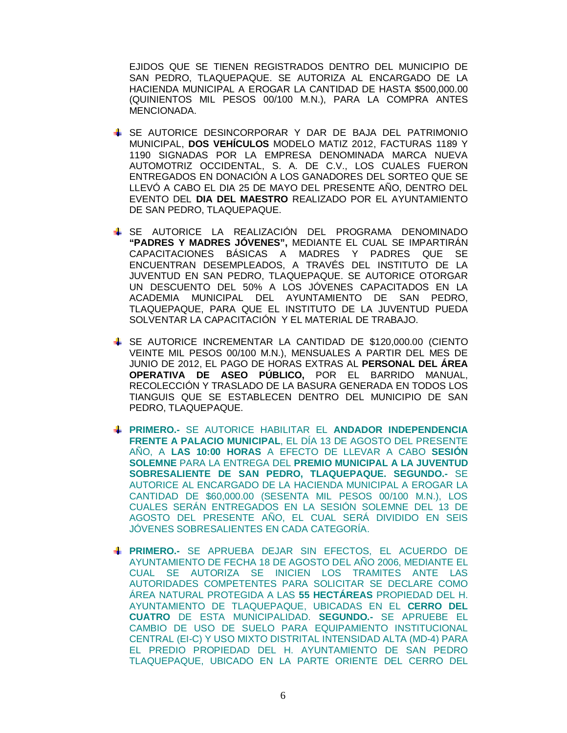EJIDOS QUE SE TIENEN REGISTRADOS DENTRO DEL MUNICIPIO DE SAN PEDRO, TLAQUEPAQUE. SE AUTORIZA AL ENCARGADO DE LA HACIENDA MUNICIPAL A EROGAR LA CANTIDAD DE HASTA \$500,000.00 (QUINIENTOS MIL PESOS 00/100 M.N.), PARA LA COMPRA ANTES MENCIONADA.

- SE AUTORICE DESINCORPORAR Y DAR DE BAJA DEL PATRIMONIO MUNICIPAL, **DOS VEHÍCULOS** MODELO MATIZ 2012, FACTURAS 1189 Y 1190 SIGNADAS POR LA EMPRESA DENOMINADA MARCA NUEVA AUTOMOTRIZ OCCIDENTAL, S. A. DE C.V., LOS CUALES FUERON ENTREGADOS EN DONACIÓN A LOS GANADORES DEL SORTEO QUE SE LLEVÓ A CABO EL DIA 25 DE MAYO DEL PRESENTE AÑO, DENTRO DEL EVENTO DEL **DIA DEL MAESTRO** REALIZADO POR EL AYUNTAMIENTO DE SAN PEDRO, TLAQUEPAQUE.
- SE AUTORICE LA REALIZACIÓN DEL PROGRAMA DENOMINADO **"PADRES Y MADRES JÓVENES",** MEDIANTE EL CUAL SE IMPARTIRÁN CAPACITACIONES BÁSICAS A MADRES Y PADRES QUE SE ENCUENTRAN DESEMPLEADOS, A TRAVÉS DEL INSTITUTO DE LA JUVENTUD EN SAN PEDRO, TLAQUEPAQUE. SE AUTORICE OTORGAR UN DESCUENTO DEL 50% A LOS JÓVENES CAPACITADOS EN LA ACADEMIA MUNICIPAL DEL AYUNTAMIENTO DE SAN PEDRO, TLAQUEPAQUE, PARA QUE EL INSTITUTO DE LA JUVENTUD PUEDA SOLVENTAR LA CAPACITACIÓN Y EL MATERIAL DE TRABAJO.
- SE AUTORICE INCREMENTAR LA CANTIDAD DE \$120,000.00 (CIENTO VEINTE MIL PESOS 00/100 M.N.), MENSUALES A PARTIR DEL MES DE JUNIO DE 2012, EL PAGO DE HORAS EXTRAS AL **PERSONAL DEL ÁREA OPERATIVA DE ASEO PÚBLICO,** POR EL BARRIDO MANUAL, RECOLECCIÓN Y TRASLADO DE LA BASURA GENERADA EN TODOS LOS TIANGUIS QUE SE ESTABLECEN DENTRO DEL MUNICIPIO DE SAN PEDRO, TLAQUEPAQUE.
- **PRIMERO.-** SE AUTORICE HABILITAR EL **ANDADOR INDEPENDENCIA FRENTE A PALACIO MUNICIPAL**, EL DÍA 13 DE AGOSTO DEL PRESENTE AÑO, A **LAS 10:00 HORAS** A EFECTO DE LLEVAR A CABO **SESIÓN SOLEMNE** PARA LA ENTREGA DEL **PREMIO MUNICIPAL A LA JUVENTUD SOBRESALIENTE DE SAN PEDRO, TLAQUEPAQUE. SEGUNDO.-** SE AUTORICE AL ENCARGADO DE LA HACIENDA MUNICIPAL A EROGAR LA CANTIDAD DE \$60,000.00 (SESENTA MIL PESOS 00/100 M.N.), LOS CUALES SERÁN ENTREGADOS EN LA SESIÓN SOLEMNE DEL 13 DE AGOSTO DEL PRESENTE AÑO, EL CUAL SERÁ DIVIDIDO EN SEIS JÓVENES SOBRESALIENTES EN CADA CATEGORÍA.
- **PRIMERO.-** SE APRUEBA DEJAR SIN EFECTOS, EL ACUERDO DE AYUNTAMIENTO DE FECHA 18 DE AGOSTO DEL AÑO 2006, MEDIANTE EL CUAL SE AUTORIZA SE INICIEN LOS TRAMITES ANTE LAS AUTORIDADES COMPETENTES PARA SOLICITAR SE DECLARE COMO ÁREA NATURAL PROTEGIDA A LAS **55 HECTÁREAS** PROPIEDAD DEL H. AYUNTAMIENTO DE TLAQUEPAQUE, UBICADAS EN EL **CERRO DEL CUATRO** DE ESTA MUNICIPALIDAD. **SEGUNDO.-** SE APRUEBE EL CAMBIO DE USO DE SUELO PARA EQUIPAMIENTO INSTITUCIONAL CENTRAL (EI-C) Y USO MIXTO DISTRITAL INTENSIDAD ALTA (MD-4) PARA EL PREDIO PROPIEDAD DEL H. AYUNTAMIENTO DE SAN PEDRO TLAQUEPAQUE, UBICADO EN LA PARTE ORIENTE DEL CERRO DEL